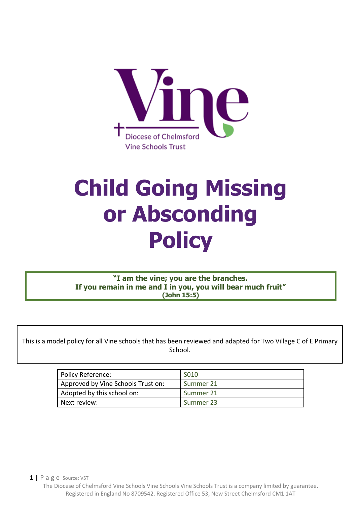

# **Child Going Missing or Absconding Policy**

**"I am the vine; you are the branches. If you remain in me and I in you, you will bear much fruit" (John 15:5)**

This is a model policy for all Vine schools that has been reviewed and adapted for Two Village C of E Primary School.

 $\blacksquare$ 

| Policy Reference:                  | S010      |
|------------------------------------|-----------|
| Approved by Vine Schools Trust on: | Summer 21 |
| Adopted by this school on:         | Summer 21 |
| Next review:                       | Summer 23 |

**1 |** P a g e Source: VST The Diocese of Chelmsford Vine Schools Vine Schools Vine Schools Trust is a company limited by guarantee. Registered in England No 8709542. Registered Office 53, New Street Chelmsford CM1 1AT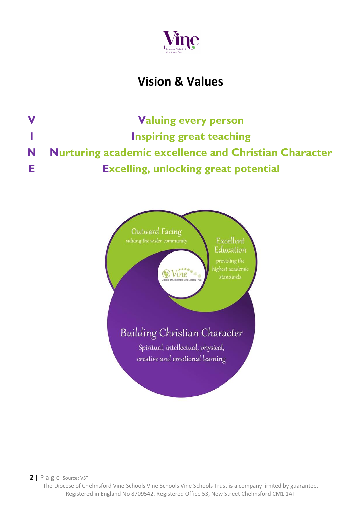

## **Vision & Values**

**V Valuing every person I Inspiring great teaching N Nurturing academic excellence and Christian Character E Excelling, unlocking great potential**

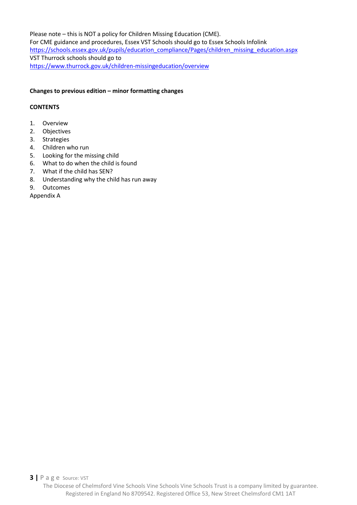Please note – this is NOT a policy for Children Missing Education (CME). For CME guidance and procedures, Essex VST Schools should go to Essex Schools Infolink [https://schools.essex.gov.uk/pupils/education\\_compliance/Pages/children\\_missing\\_education.aspx](https://schools.essex.gov.uk/pupils/education_compliance/Pages/children_missing_education.aspx) VST Thurrock schools should go to <https://www.thurrock.gov.uk/children-missingeducation/overview>

#### **Changes to previous edition – minor formatting changes**

#### **CONTENTS**

- 1. Overview
- 2. Objectives
- 3. Strategies
- 4. Children who run
- 5. Looking for the missing child
- 6. What to do when the child is found
- 7. What if the child has SEN?
- 8. Understanding why the child has run away
- 9. Outcomes

Appendix A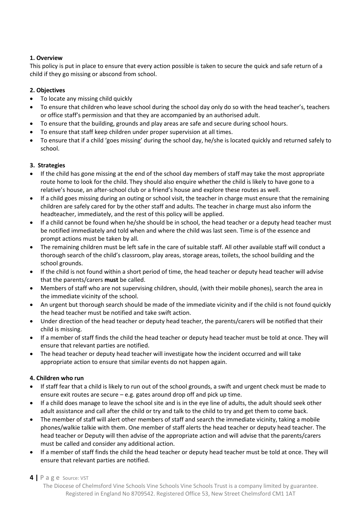#### **1. Overview**

This policy is put in place to ensure that every action possible is taken to secure the quick and safe return of a child if they go missing or abscond from school.

#### **2. Objectives**

- To locate any missing child quickly
- To ensure that children who leave school during the school day only do so with the head teacher's, teachers or office staff's permission and that they are accompanied by an authorised adult.
- To ensure that the building, grounds and play areas are safe and secure during school hours.
- To ensure that staff keep children under proper supervision at all times.
- To ensure that if a child 'goes missing' during the school day, he/she is located quickly and returned safely to school.

#### **3. Strategies**

- If the child has gone missing at the end of the school day members of staff may take the most appropriate route home to look for the child. They should also enquire whether the child is likely to have gone to a relative's house, an after-school club or a friend's house and explore these routes as well.
- If a child goes missing during an outing or school visit, the teacher in charge must ensure that the remaining children are safely cared for by the other staff and adults. The teacher in charge must also inform the headteacher, immediately, and the rest of this policy will be applied.
- If a child cannot be found when he/she should be in school, the head teacher or a deputy head teacher must be notified immediately and told when and where the child was last seen. Time is of the essence and prompt actions must be taken by all.
- The remaining children must be left safe in the care of suitable staff. All other available staff will conduct a thorough search of the child's classroom, play areas, storage areas, toilets, the school building and the school grounds.
- If the child is not found within a short period of time, the head teacher or deputy head teacher will advise that the parents/carers **must** be called.
- Members of staff who are not supervising children, should, (with their mobile phones), search the area in the immediate vicinity of the school.
- An urgent but thorough search should be made of the immediate vicinity and if the child is not found quickly the head teacher must be notified and take swift action.
- Under direction of the head teacher or deputy head teacher, the parents/carers will be notified that their child is missing.
- If a member of staff finds the child the head teacher or deputy head teacher must be told at once. They will ensure that relevant parties are notified.
- The head teacher or deputy head teacher will investigate how the incident occurred and will take appropriate action to ensure that similar events do not happen again.

#### **4. Children who run**

- If staff fear that a child is likely to run out of the school grounds, a swift and urgent check must be made to ensure exit routes are secure – e.g. gates around drop off and pick up time.
- If a child does manage to leave the school site and is in the eye line of adults, the adult should seek other adult assistance and call after the child or try and talk to the child to try and get them to come back.
- The member of staff will alert other members of staff and search the immediate vicinity, taking a mobile phones/walkie talkie with them. One member of staff alerts the head teacher or deputy head teacher. The head teacher or Deputy will then advise of the appropriate action and will advise that the parents/carers must be called and consider any additional action.
- If a member of staff finds the child the head teacher or deputy head teacher must be told at once. They will ensure that relevant parties are notified.

#### **4 |** P a g e Source: VST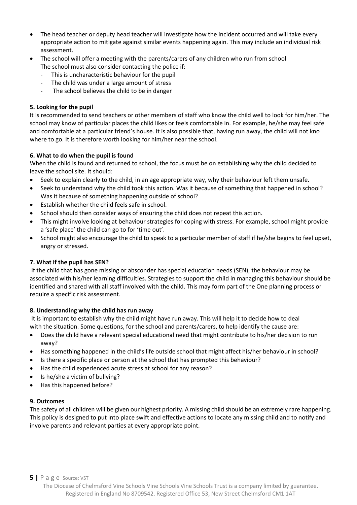- The head teacher or deputy head teacher will investigate how the incident occurred and will take every appropriate action to mitigate against similar events happening again. This may include an individual risk assessment.
- The school will offer a meeting with the parents/carers of any children who run from school The school must also consider contacting the police if:
	- This is uncharacteristic behaviour for the pupil
	- The child was under a large amount of stress
	- The school believes the child to be in danger

#### **5. Looking for the pupil**

It is recommended to send teachers or other members of staff who know the child well to look for him/her. The school may know of particular places the child likes or feels comfortable in. For example, he/she may feel safe and comfortable at a particular friend's house. It is also possible that, having run away, the child will not kno where to go. It is therefore worth looking for him/her near the school.

#### **6. What to do when the pupil is found**

When the child is found and returned to school, the focus must be on establishing why the child decided to leave the school site. It should:

- Seek to explain clearly to the child, in an age appropriate way, why their behaviour left them unsafe.
- Seek to understand why the child took this action. Was it because of something that happened in school? Was it because of something happening outside of school?
- Establish whether the child feels safe in school.
- School should then consider ways of ensuring the child does not repeat this action.
- This might involve looking at behaviour strategies for coping with stress. For example, school might provide a 'safe place' the child can go to for 'time out'.
- School might also encourage the child to speak to a particular member of staff if he/she begins to feel upset, angry or stressed.

#### **7. What if the pupil has SEN?**

If the child that has gone missing or absconder has special education needs (SEN), the behaviour may be associated with his/her learning difficulties. Strategies to support the child in managing this behaviour should be identified and shared with all staff involved with the child. This may form part of the One planning process or require a specific risk assessment.

#### **8. Understanding why the child has run away**

It is important to establish why the child might have run away. This will help it to decide how to deal with the situation. Some questions, for the school and parents/carers, to help identify the cause are:

- Does the child have a relevant special educational need that might contribute to his/her decision to run away?
- Has something happened in the child's life outside school that might affect his/her behaviour in school?
- Is there a specific place or person at the school that has prompted this behaviour?
- Has the child experienced acute stress at school for any reason?
- Is he/she a victim of bullying?
- Has this happened before?

#### **9. Outcomes**

The safety of all children will be given our highest priority. A missing child should be an extremely rare happening. This policy is designed to put into place swift and effective actions to locate any missing child and to notify and involve parents and relevant parties at every appropriate point.